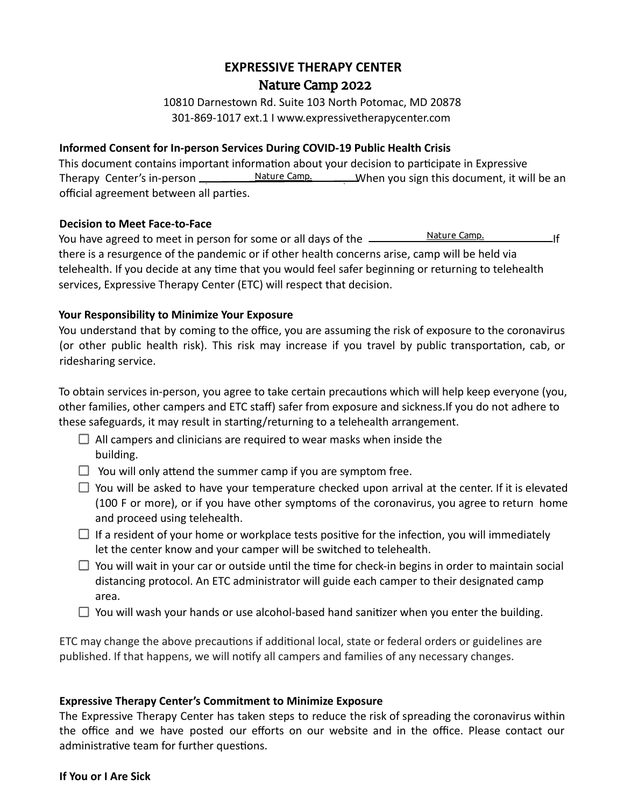# **EXPRESSIVE THERAPY CENTER Xpress Yourself Summer Camp 2022** Nature Camp 2022

10810 Darnestown Rd. Suite 103 North Potomac, MD 20878 301-869-1017 ext.1 I www.expressivetherapycenter.com

## **Informed Consent for In-person Services During COVID-19 Public Health Crisis**

This document contains important information about your decision to participate in Expressive Therapy Center's in-person <u>Wature Camp.</u> When you sign this document, it will be an official agreement between all parties.

### **Decision to Meet Face-to-Face**

You have agreed to meet in person for some or all days of the <u>2022 Xpress Nature Camp.</u> 2022 If there is a resurgence of the pandemic or if other health concerns arise, camp will be held via telehealth. If you decide at any time that you would feel safer beginning or returning to telehealth services, Expressive Therapy Center (ETC) will respect that decision. Nature Camp.

### **Your Responsibility to Minimize Your Exposure**

You understand that by coming to the office, you are assuming the risk of exposure to the coronavirus (or other public health risk). This risk may increase if you travel by public transportation, cab, or ridesharing service.

To obtain services in-person, you agree to take certain precautions which will help keep everyone (you, other families, other campers and ETC staff) safer from exposure and sickness.If you do not adhere to these safeguards, it may result in starting/returning to a telehealth arrangement.

- $\Box$  All campers and clinicians are required to wear masks when inside the building.
- $\Box$  You will only attend the summer camp if you are symptom free.
- $\Box$  You will be asked to have your temperature checked upon arrival at the center. If it is elevated (100 F or more), or if you have other symptoms of the coronavirus, you agree to return home and proceed using telehealth.
- $\Box$  If a resident of your home or workplace tests positive for the infection, you will immediately let the center know and your camper will be switched to telehealth.
- $\Box$  You will wait in your car or outside until the time for check-in begins in order to maintain social distancing protocol. An ETC administrator will guide each camper to their designated camp area.
- $\Box$  You will wash your hands or use alcohol-based hand sanitizer when you enter the building.

ETC may change the above precautions if additional local, state or federal orders or guidelines are published. If that happens, we will notify all campers and families of any necessary changes.

### **Expressive Therapy Center's Commitment to Minimize Exposure**

The Expressive Therapy Center has taken steps to reduce the risk of spreading the coronavirus within the office and we have posted our efforts on our website and in the office. Please contact our administrative team for further questions.